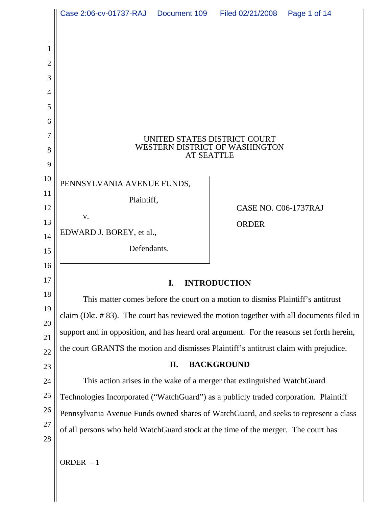|                | Case 2:06-cv-01737-RAJ  Document 109  Filed 02/21/2008                                                                                                                                | Page 1 of 14         |
|----------------|---------------------------------------------------------------------------------------------------------------------------------------------------------------------------------------|----------------------|
|                |                                                                                                                                                                                       |                      |
| 1              |                                                                                                                                                                                       |                      |
| $\overline{2}$ |                                                                                                                                                                                       |                      |
| 3              |                                                                                                                                                                                       |                      |
| 4              |                                                                                                                                                                                       |                      |
| 5              |                                                                                                                                                                                       |                      |
| 6              |                                                                                                                                                                                       |                      |
| 7              | UNITED STATES DISTRICT COURT                                                                                                                                                          |                      |
| 8              | WESTERN DISTRICT OF WASHINGTON<br><b>AT SEATTLE</b>                                                                                                                                   |                      |
| 9              |                                                                                                                                                                                       |                      |
| 10             | PENNSYLVANIA AVENUE FUNDS,                                                                                                                                                            |                      |
| 11<br>12       | Plaintiff,                                                                                                                                                                            | CASE NO. C06-1737RAJ |
| 13             | V.                                                                                                                                                                                    |                      |
| 14             | EDWARD J. BOREY, et al.,                                                                                                                                                              | <b>ORDER</b>         |
| 15             | Defendants.                                                                                                                                                                           |                      |
| 16             |                                                                                                                                                                                       |                      |
| 17             | <b>INTRODUCTION</b><br>I.                                                                                                                                                             |                      |
| 18             | This matter comes before the court on a motion to dismiss Plaintiff's antitrust                                                                                                       |                      |
| 19             | claim (Dkt. #83). The court has reviewed the motion together with all documents filed in<br>support and in opposition, and has heard oral argument. For the reasons set forth herein, |                      |
| 20             |                                                                                                                                                                                       |                      |
| 21             | the court GRANTS the motion and dismisses Plaintiff's antitrust claim with prejudice.                                                                                                 |                      |
| 22<br>23       | <b>BACKGROUND</b><br>II.                                                                                                                                                              |                      |
| 24             | This action arises in the wake of a merger that extinguished WatchGuard                                                                                                               |                      |
| $25\,$         | Technologies Incorporated ("WatchGuard") as a publicly traded corporation. Plaintiff                                                                                                  |                      |
| 26             | Pennsylvania Avenue Funds owned shares of WatchGuard, and seeks to represent a class                                                                                                  |                      |
| 27             | of all persons who held WatchGuard stock at the time of the merger. The court has                                                                                                     |                      |
| 28             |                                                                                                                                                                                       |                      |
|                | ORDER $-1$                                                                                                                                                                            |                      |

Ι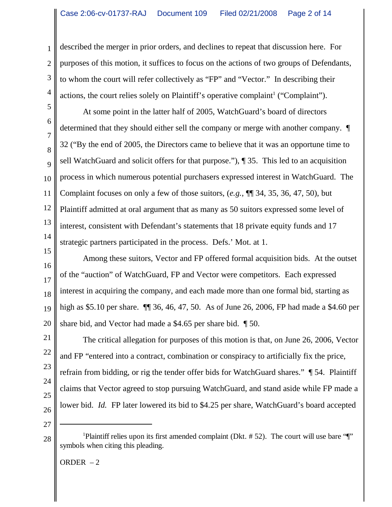described the merger in prior orders, and declines to repeat that discussion here. For purposes of this motion, it suffices to focus on the actions of two groups of Defendants, to whom the court will refer collectively as "FP" and "Vector." In describing their actions, the court relies solely on Plaintiff's operative complaint<sup>1</sup> ("Complaint").

At some point in the latter half of 2005, WatchGuard's board of directors determined that they should either sell the company or merge with another company. ¶ 32 ("By the end of 2005, the Directors came to believe that it was an opportune time to sell WatchGuard and solicit offers for that purpose."), ¶ 35. This led to an acquisition process in which numerous potential purchasers expressed interest in WatchGuard. The Complaint focuses on only a few of those suitors, (*e.g.*, ¶¶ 34, 35, 36, 47, 50), but Plaintiff admitted at oral argument that as many as 50 suitors expressed some level of interest, consistent with Defendant's statements that 18 private equity funds and 17 strategic partners participated in the process. Defs.' Mot. at 1.

Among these suitors, Vector and FP offered formal acquisition bids. At the outset of the "auction" of WatchGuard, FP and Vector were competitors. Each expressed interest in acquiring the company, and each made more than one formal bid, starting as high as \$5.10 per share. ¶¶ 36, 46, 47, 50. As of June 26, 2006, FP had made a \$4.60 per share bid, and Vector had made a \$4.65 per share bid. ¶ 50.

The critical allegation for purposes of this motion is that, on June 26, 2006, Vector and FP "entered into a contract, combination or conspiracy to artificially fix the price, refrain from bidding, or rig the tender offer bids for WatchGuard shares." ¶ 54. Plaintiff claims that Vector agreed to stop pursuing WatchGuard, and stand aside while FP made a lower bid. *Id.* FP later lowered its bid to \$4.25 per share, WatchGuard's board accepted

ORDER – 2

1

2

3

4

5

6

7

8

 $\overline{Q}$ 

10

11

<sup>&</sup>lt;sup>1</sup>Plaintiff relies upon its first amended complaint (Dkt. #52). The court will use bare "[" symbols when citing this pleading.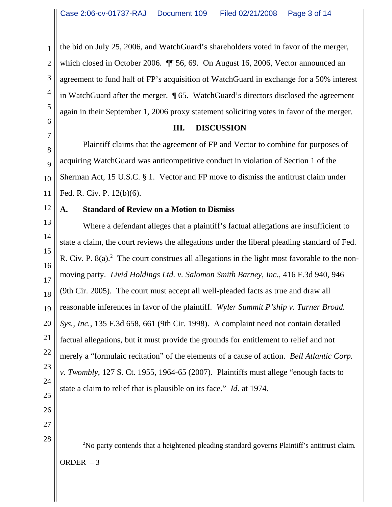3 the bid on July 25, 2006, and WatchGuard's shareholders voted in favor of the merger, which closed in October 2006.  $\P$  56, 69. On August 16, 2006, Vector announced an agreement to fund half of FP's acquisition of WatchGuard in exchange for a 50% interest in WatchGuard after the merger. ¶ 65. WatchGuard's directors disclosed the agreement again in their September 1, 2006 proxy statement soliciting votes in favor of the merger.

#### **III. DISCUSSION**

8  $\overline{Q}$ 10 11 Plaintiff claims that the agreement of FP and Vector to combine for purposes of acquiring WatchGuard was anticompetitive conduct in violation of Section 1 of the Sherman Act, 15 U.S.C. § 1. Vector and FP move to dismiss the antitrust claim under Fed. R. Civ. P. 12(b)(6).

## **A. Standard of Review on a Motion to Dismiss**

13 14 15 16 17 18 19 20 21 22 23 24 25 Where a defendant alleges that a plaintiff's factual allegations are insufficient to state a claim, the court reviews the allegations under the liberal pleading standard of Fed. R. Civ. P.  $8(a)$ .<sup>2</sup> The court construes all allegations in the light most favorable to the nonmoving party. *Livid Holdings Ltd. v. Salomon Smith Barney, Inc.*, 416 F.3d 940, 946 (9th Cir. 2005). The court must accept all well-pleaded facts as true and draw all reasonable inferences in favor of the plaintiff. *Wyler Summit P'ship v. Turner Broad. Sys., Inc.*, 135 F.3d 658, 661 (9th Cir. 1998).A complaint need not contain detailed factual allegations, but it must provide the grounds for entitlement to relief and not merely a "formulaic recitation" of the elements of a cause of action. *Bell Atlantic Corp. v. Twombly*, 127 S. Ct. 1955, 1964-65 (2007). Plaintiffs must allege "enough facts to state a claim to relief that is plausible on its face." *Id*. at 1974.

26

1

2

4

5

6

7

12

27 28

<sup>2</sup>No party contends that a heightened pleading standard governs Plaintiff's antitrust claim. ORDER  $-3$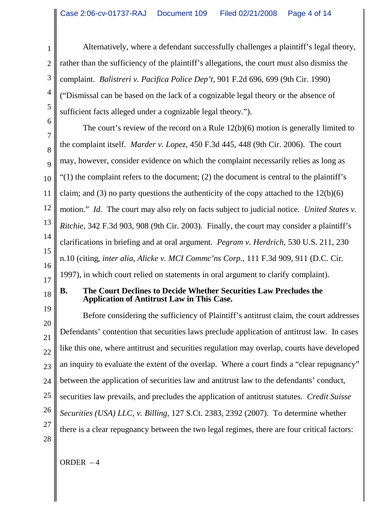Alternatively, where a defendant successfully challenges a plaintiff's legal theory, rather than the sufficiency of the plaintiff's allegations, the court must also dismiss the complaint. *Balistreri v. Pacifica Police Dep't*, 901 F.2d 696, 699 (9th Cir. 1990) ("Dismissal can be based on the lack of a cognizable legal theory or the absence of sufficient facts alleged under a cognizable legal theory.").

6 7 8 The court's review of the record on a Rule 12(b)(6) motion is generally limited to the complaint itself. *Marder v. Lopez*, 450 F.3d 445, 448 (9th Cir. 2006). The court may, however, consider evidence on which the complaint necessarily relies as long as  $(1)$  the complaint refers to the document; (2) the document is central to the plaintiff's claim; and (3) no party questions the authenticity of the copy attached to the  $12(b)(6)$ motion." *Id.* The court may also rely on facts subject to judicial notice. *United States v. Ritchie*, 342 F.3d 903, 908 (9th Cir. 2003). Finally, the court may consider a plaintiff's clarifications in briefing and at oral argument. *Pegram v. Herdrich*, 530 U.S. 211, 230 n.10 (citing, *inter alia*, *Alicke v. MCI Commc'ns Corp.*, 111 F.3d 909, 911 (D.C. Cir. 1997), in which court relied on statements in oral argument to clarify complaint).

# **B. The Court Declines to Decide Whether Securities Law Precludes the Application of Antitrust Law in This Case.**

Before considering the sufficiency of Plaintiff's antitrust claim, the court addresses Defendants' contention that securities laws preclude application of antitrust law. In cases like this one, where antitrust and securities regulation may overlap, courts have developed an inquiry to evaluate the extent of the overlap. Where a court finds a "clear repugnancy" between the application of securities law and antitrust law to the defendants' conduct, securities law prevails, and precludes the application of antitrust statutes. *Credit Suisse Securities (USA) LLC, v. Billing*, 127 S.Ct. 2383, 2392 (2007). To determine whether there is a clear repugnancy between the two legal regimes, there are four critical factors:

1

2

3

4

5

28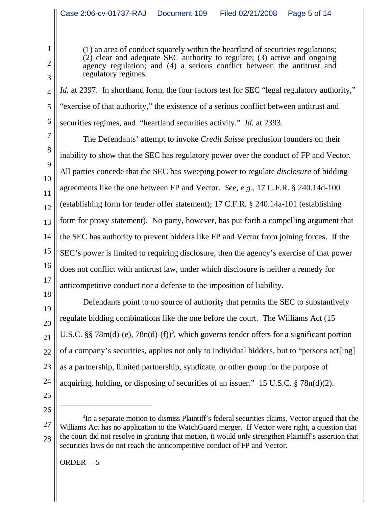(1) an area of conduct squarely within the heartland of securities regulations; (2) clear and adequate SEC authority to regulate; (3) active and ongoing agency regulation; and (4) a serious conflict between the antitrust and regulatory regimes.

*Id.* at 2397. In shorthand form, the four factors test for SEC "legal regulatory authority," "exercise of that authority," the existence of a serious conflict between antitrust and securities regimes, and "heartland securities activity." *Id.* at 2393.

7 8 9 10 11 12 13 14 15 16 17 The Defendants' attempt to invoke *Credit Suisse* preclusion founders on their inability to show that the SEC has regulatory power over the conduct of FP and Vector. All parties concede that the SEC has sweeping power to regulate *disclosure* of bidding agreements like the one between FP and Vector. *See*, *e.g.*, 17 C.F.R. § 240.14d-100 (establishing form for tender offer statement); 17 C.F.R. § 240.14a-101 (establishing form for proxy statement). No party, however, has put forth a compelling argument that the SEC has authority to prevent bidders like FP and Vector from joining forces. If the SEC's power is limited to requiring disclosure, then the agency's exercise of that power does not conflict with antitrust law, under which disclosure is neither a remedy for anticompetitive conduct nor a defense to the imposition of liability.

18 19 20 21 22 23 24 Defendants point to no source of authority that permits the SEC to substantively regulate bidding combinations like the one before the court. The Williams Act (15 U.S.C. §§ 78m(d)-(e), 78n(d)-(f))<sup>3</sup>, which governs tender offers for a significant portion of a company's securities, applies not only to individual bidders, but to "persons act[ing] as a partnership, limited partnership, syndicate, or other group for the purpose of acquiring, holding, or disposing of securities of an issuer." 15 U.S.C. § 78n(d)(2).

25 26

1

2

3

4

5

6

ORDER  $-5$ 

<sup>27</sup> 28 <sup>3</sup>In a separate motion to dismiss Plaintiff's federal securities claims, Vector argued that the Williams Act has no application to the WatchGuard merger. If Vector were right, a question that the court did not resolve in granting that motion, it would only strengthen Plaintiff's assertion that securities laws do not reach the anticompetitive conduct of FP and Vector.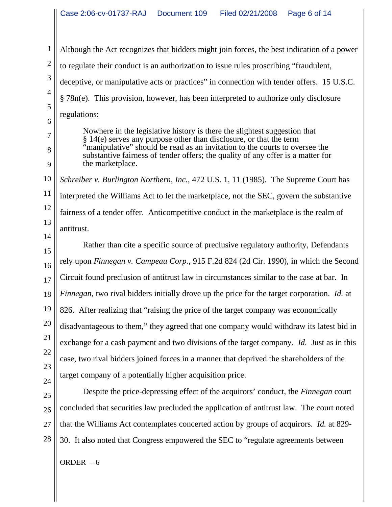Although the Act recognizes that bidders might join forces, the best indication of a power to regulate their conduct is an authorization to issue rules proscribing "fraudulent, deceptive, or manipulative acts or practices" in connection with tender offers. 15 U.S.C. § 78n(e). This provision, however, has been interpreted to authorize only disclosure regulations:

Nowhere in the legislative history is there the slightest suggestion that § 14(e) serves any purpose other than disclosure, or that the term "manipulative" should be read as an invitation to the courts to oversee the substantive fairness of tender offers; the quality of any offer is a matter for the marketplace.

10 11 12 13 14 *Schreiber v. Burlington Northern, Inc.*, 472 U.S. 1, 11 (1985). The Supreme Court has interpreted the Williams Act to let the marketplace, not the SEC, govern the substantive fairness of a tender offer. Anticompetitive conduct in the marketplace is the realm of antitrust.

15 16 17 18 19 20 21 22 23 24 Rather than cite a specific source of preclusive regulatory authority, Defendants rely upon *Finnegan v. Campeau Corp.*, 915 F.2d 824 (2d Cir. 1990), in which the Second Circuit found preclusion of antitrust law in circumstances similar to the case at bar. In *Finnegan*, two rival bidders initially drove up the price for the target corporation. *Id.* at 826. After realizing that "raising the price of the target company was economically disadvantageous to them," they agreed that one company would withdraw its latest bid in exchange for a cash payment and two divisions of the target company. *Id.* Just as in this case, two rival bidders joined forces in a manner that deprived the shareholders of the target company of a potentially higher acquisition price.

25 26 27 28 Despite the price-depressing effect of the acquirors' conduct, the *Finnegan* court concluded that securities law precluded the application of antitrust law. The court noted that the Williams Act contemplates concerted action by groups of acquirors. *Id.* at 829- 30. It also noted that Congress empowered the SEC to "regulate agreements between

ORDER  $-6$ 

1

2

3

4

5

6

7

8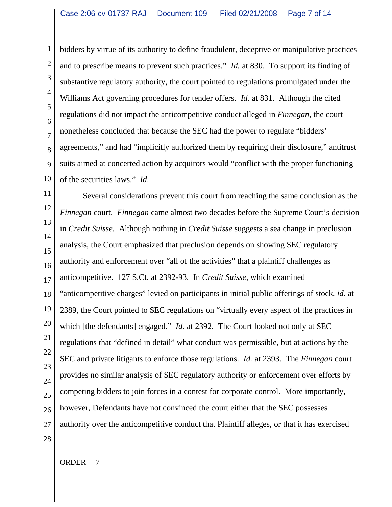3 5 10 bidders by virtue of its authority to define fraudulent, deceptive or manipulative practices and to prescribe means to prevent such practices." *Id.* at 830. To support its finding of substantive regulatory authority, the court pointed to regulations promulgated under the Williams Act governing procedures for tender offers. *Id.* at 831. Although the cited regulations did not impact the anticompetitive conduct alleged in *Finnegan*, the court nonetheless concluded that because the SEC had the power to regulate "bidders' agreements," and had "implicitly authorized them by requiring their disclosure," antitrust suits aimed at concerted action by acquirors would "conflict with the proper functioning of the securities laws." *Id*.

11 12 13 14 15 16 17 18 19 20 21 22 23  $24$ 25 26 27 28 Several considerations prevent this court from reaching the same conclusion as the *Finnegan* court. *Finnegan* came almost two decades before the Supreme Court's decision in *Credit Suisse*. Although nothing in *Credit Suisse* suggests a sea change in preclusion analysis, the Court emphasized that preclusion depends on showing SEC regulatory authority and enforcement over "all of the activities" that a plaintiff challenges as anticompetitive. 127 S.Ct. at 2392-93. In *Credit Suisse*, which examined "anticompetitive charges" levied on participants in initial public offerings of stock, *id.* at 2389, the Court pointed to SEC regulations on "virtually every aspect of the practices in which [the defendants] engaged." *Id.* at 2392. The Court looked not only at SEC regulations that "defined in detail" what conduct was permissible, but at actions by the SEC and private litigants to enforce those regulations. *Id.* at 2393. The *Finnegan* court provides no similar analysis of SEC regulatory authority or enforcement over efforts by competing bidders to join forces in a contest for corporate control. More importantly, however, Defendants have not convinced the court either that the SEC possesses authority over the anticompetitive conduct that Plaintiff alleges, or that it has exercised

1

2

4

6

7

8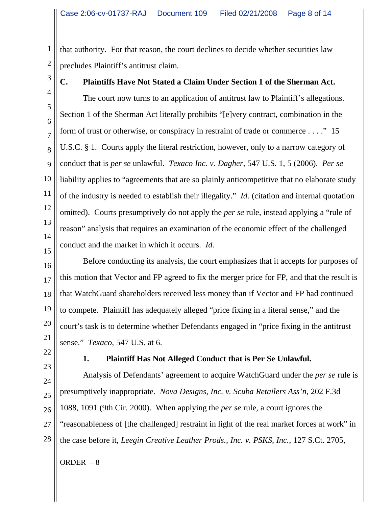that authority. For that reason, the court declines to decide whether securities law precludes Plaintiff's antitrust claim.

3

1

2

## **C. Plaintiffs Have Not Stated a Claim Under Section 1 of the Sherman Act.**

4 5 6 7 8 9 10 11 12 13 14 15 The court now turns to an application of antitrust law to Plaintiff's allegations. Section 1 of the Sherman Act literally prohibits "[e]very contract, combination in the form of trust or otherwise, or conspiracy in restraint of trade or commerce . . . ." 15 U.S.C. § 1. Courts apply the literal restriction, however, only to a narrow category of conduct that is *per se* unlawful. *Texaco Inc. v. Dagher*, 547 U.S. 1, 5 (2006). *Per se* liability applies to "agreements that are so plainly anticompetitive that no elaborate study of the industry is needed to establish their illegality." *Id.* (citation and internal quotation omitted). Courts presumptively do not apply the *per se* rule, instead applying a "rule of reason" analysis that requires an examination of the economic effect of the challenged conduct and the market in which it occurs. *Id.*

16 17 18 19 20 21 Before conducting its analysis, the court emphasizes that it accepts for purposes of this motion that Vector and FP agreed to fix the merger price for FP, and that the result is that WatchGuard shareholders received less money than if Vector and FP had continued to compete. Plaintiff has adequately alleged "price fixing in a literal sense," and the court's task is to determine whether Defendants engaged in "price fixing in the antitrust sense." *Texaco*, 547 U.S. at 6.

22 23

## **1. Plaintiff Has Not Alleged Conduct that is Per Se Unlawful.**

24 25 26 27 28 Analysis of Defendants' agreement to acquire WatchGuard under the *per se* rule is presumptively inappropriate. *Nova Designs, Inc. v. Scuba Retailers Ass'n*, 202 F.3d 1088, 1091 (9th Cir. 2000). When applying the *per se* rule, a court ignores the "reasonableness of [the challenged] restraint in light of the real market forces at work" in the case before it, *Leegin Creative Leather Prods., Inc. v. PSKS, Inc.*, 127 S.Ct. 2705,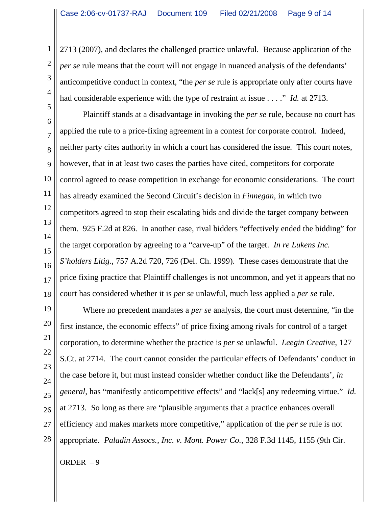2713 (2007), and declares the challenged practice unlawful. Because application of the *per se* rule means that the court will not engage in nuanced analysis of the defendants' anticompetitive conduct in context, "the *per se* rule is appropriate only after courts have had considerable experience with the type of restraint at issue . . . ." *Id.* at 2713.

6 7 8 9 10 11 12 13 14 15 16 17 18 Plaintiff stands at a disadvantage in invoking the *per se* rule, because no court has applied the rule to a price-fixing agreement in a contest for corporate control. Indeed, neither party cites authority in which a court has considered the issue. This court notes, however, that in at least two cases the parties have cited, competitors for corporate control agreed to cease competition in exchange for economic considerations. The court has already examined the Second Circuit's decision in *Finnegan*, in which two competitors agreed to stop their escalating bids and divide the target company between them. 925 F.2d at 826. In another case, rival bidders "effectively ended the bidding" for the target corporation by agreeing to a "carve-up" of the target. *In re Lukens Inc. S'holders Litig.*, 757 A.2d 720, 726 (Del. Ch. 1999). These cases demonstrate that the price fixing practice that Plaintiff challenges is not uncommon, and yet it appears that no court has considered whether it is *per se* unlawful, much less applied a *per se* rule.

19 20 21 22 23 24 25 26 27 28 Where no precedent mandates a *per se* analysis, the court must determine, "in the first instance, the economic effects" of price fixing among rivals for control of a target corporation, to determine whether the practice is *per se* unlawful. *Leegin Creative*, 127 S.Ct. at 2714. The court cannot consider the particular effects of Defendants' conduct in the case before it, but must instead consider whether conduct like the Defendants', *in general*, has "manifestly anticompetitive effects" and "lack[s] any redeeming virtue." *Id.* at 2713. So long as there are "plausible arguments that a practice enhances overall efficiency and makes markets more competitive," application of the *per se* rule is not appropriate. *Paladin Assocs., Inc. v. Mont. Power Co.*, 328 F.3d 1145, 1155 (9th Cir.

ORDER – 9

1

2

3

4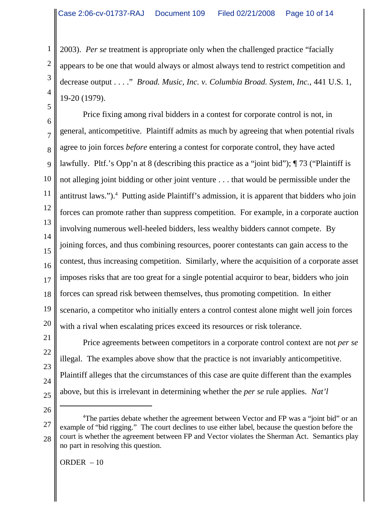2003). *Per se* treatment is appropriate only when the challenged practice "facially appears to be one that would always or almost always tend to restrict competition and decrease output . . . ." *Broad. Music, Inc. v. Columbia Broad. System, Inc.*, 441 U.S. 1, 19-20 (1979).

6 7 8 9 10 11 12 13 14 15 16 17 18 19 20 Price fixing among rival bidders in a contest for corporate control is not, in general, anticompetitive. Plaintiff admits as much by agreeing that when potential rivals agree to join forces *before* entering a contest for corporate control, they have acted lawfully. Pltf.'s Opp'n at 8 (describing this practice as a "joint bid"); ¶ 73 ("Plaintiff is not alleging joint bidding or other joint venture . . . that would be permissible under the antitrust laws.").<sup>4</sup> Putting aside Plaintiff's admission, it is apparent that bidders who join forces can promote rather than suppress competition. For example, in a corporate auction involving numerous well-heeled bidders, less wealthy bidders cannot compete. By joining forces, and thus combining resources, poorer contestants can gain access to the contest, thus increasing competition. Similarly, where the acquisition of a corporate asset imposes risks that are too great for a single potential acquiror to bear, bidders who join forces can spread risk between themselves, thus promoting competition. In either scenario, a competitor who initially enters a control contest alone might well join forces with a rival when escalating prices exceed its resources or risk tolerance.

Price agreements between competitors in a corporate control context are not *per se* illegal. The examples above show that the practice is not invariably anticompetitive. Plaintiff alleges that the circumstances of this case are quite different than the examples above, but this is irrelevant in determining whether the *per se* rule applies. *Nat'l*

26

21

22

23

24

25

1

2

3

4

5

<sup>27</sup> 28 <sup>4</sup>The parties debate whether the agreement between Vector and FP was a "joint bid" or an example of "bid rigging." The court declines to use either label, because the question before the court is whether the agreement between FP and Vector violates the Sherman Act. Semantics play no part in resolving this question.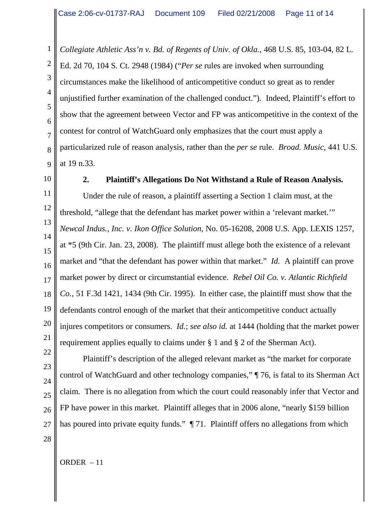*Collegiate Athletic Ass'n v. Bd. of Regents of Univ. of Okla.*, 468 U.S. 85, 103-04, 82 L. Ed. 2d 70, 104 S. Ct. 2948 (1984) ("*Per se* rules are invoked when surrounding circumstances make the likelihood of anticompetitive conduct so great as to render unjustified further examination of the challenged conduct."). Indeed, Plaintiff's effort to show that the agreement between Vector and FP was anticompetitive in the context of the contest for control of WatchGuard only emphasizes that the court must apply a particularized rule of reason analysis, rather than the *per se* rule. *Broad. Music*, 441 U.S. at 19 n.33.

10

1

2

3

4

5

6

7

8

9

#### **2. Plaintiff's Allegations Do Not Withstand a Rule of Reason Analysis.**

11 12 13 14 15 16 17 18 19 20 Under the rule of reason, a plaintiff asserting a Section 1 claim must, at the threshold, "allege that the defendant has market power within a 'relevant market.'" *Newcal Indus., Inc. v. Ikon Office Solution*, No. 05-16208, 2008 U.S. App. LEXIS 1257, at \*5 (9th Cir. Jan. 23, 2008). The plaintiff must allege both the existence of a relevant market and "that the defendant has power within that market." *Id.* A plaintiff can prove market power by direct or circumstantial evidence. *Rebel Oil Co. v. Atlantic Richfield Co.*, 51 F.3d 1421, 1434 (9th Cir. 1995). In either case, the plaintiff must show that the defendants control enough of the market that their anticompetitive conduct actually injures competitors or consumers. *Id.*; *see also id.* at 1444 (holding that the market power requirement applies equally to claims under § 1 and § 2 of the Sherman Act).

Plaintiff's description of the alleged relevant market as "the market for corporate control of WatchGuard and other technology companies," ¶ 76, is fatal to its Sherman Act claim. There is no allegation from which the court could reasonably infer that Vector and FP have power in this market. Plaintiff alleges that in 2006 alone, "nearly \$159 billion has poured into private equity funds."  $\P$  71. Plaintiff offers no allegations from which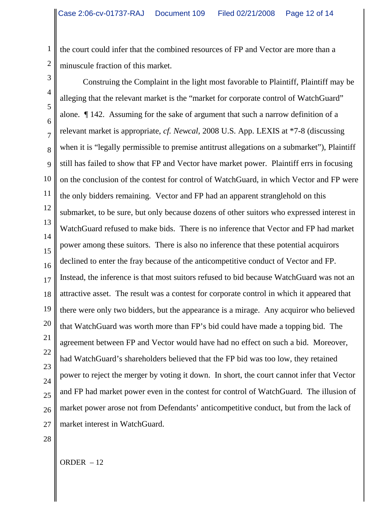the court could infer that the combined resources of FP and Vector are more than a minuscule fraction of this market.

3 4 5 6 7 8 9 10 11 12 13 14 15 16 17 18 19 20 21 22 23  $24$ 25 26 27 Construing the Complaint in the light most favorable to Plaintiff, Plaintiff may be alleging that the relevant market is the "market for corporate control of WatchGuard" alone. ¶ 142. Assuming for the sake of argument that such a narrow definition of a relevant market is appropriate, *cf. Newcal*, 2008 U.S. App. LEXIS at \*7-8 (discussing when it is "legally permissible to premise antitrust allegations on a submarket"), Plaintiff still has failed to show that FP and Vector have market power. Plaintiff errs in focusing on the conclusion of the contest for control of WatchGuard, in which Vector and FP were the only bidders remaining. Vector and FP had an apparent stranglehold on this submarket, to be sure, but only because dozens of other suitors who expressed interest in WatchGuard refused to make bids. There is no inference that Vector and FP had market power among these suitors. There is also no inference that these potential acquirors declined to enter the fray because of the anticompetitive conduct of Vector and FP. Instead, the inference is that most suitors refused to bid because WatchGuard was not an attractive asset. The result was a contest for corporate control in which it appeared that there were only two bidders, but the appearance is a mirage. Any acquiror who believed that WatchGuard was worth more than FP's bid could have made a topping bid. The agreement between FP and Vector would have had no effect on such a bid. Moreover, had WatchGuard's shareholders believed that the FP bid was too low, they retained power to reject the merger by voting it down. In short, the court cannot infer that Vector and FP had market power even in the contest for control of WatchGuard. The illusion of market power arose not from Defendants' anticompetitive conduct, but from the lack of market interest in WatchGuard.

28

1

2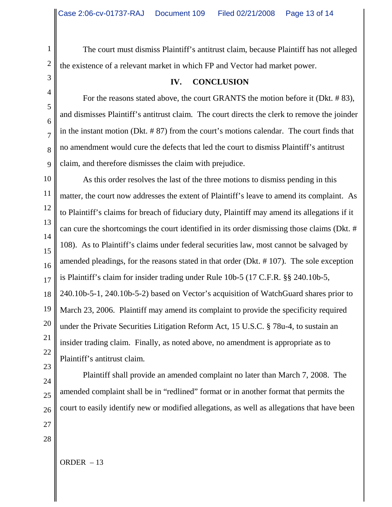The court must dismiss Plaintiff's antitrust claim, because Plaintiff has not alleged the existence of a relevant market in which FP and Vector had market power.

## **IV. CONCLUSION**

For the reasons stated above, the court GRANTS the motion before it (Dkt. # 83), and dismisses Plaintiff's antitrust claim. The court directs the clerk to remove the joinder in the instant motion (Dkt. # 87) from the court's motions calendar. The court finds that no amendment would cure the defects that led the court to dismiss Plaintiff's antitrust claim, and therefore dismisses the claim with prejudice.

10 11 12 13 14 As this order resolves the last of the three motions to dismiss pending in this matter, the court now addresses the extent of Plaintiff's leave to amend its complaint. As to Plaintiff's claims for breach of fiduciary duty, Plaintiff may amend its allegations if it can cure the shortcomings the court identified in its order dismissing those claims (Dkt. # 108). As to Plaintiff's claims under federal securities law, most cannot be salvaged by amended pleadings, for the reasons stated in that order (Dkt. # 107). The sole exception is Plaintiff's claim for insider trading under Rule 10b-5 (17 C.F.R. §§ 240.10b-5, 240.10b-5-1, 240.10b-5-2) based on Vector's acquisition of WatchGuard shares prior to March 23, 2006. Plaintiff may amend its complaint to provide the specificity required under the Private Securities Litigation Reform Act, 15 U.S.C. § 78u-4, to sustain an insider trading claim. Finally, as noted above, no amendment is appropriate as to Plaintiff's antitrust claim.

Plaintiff shall provide an amended complaint no later than March 7, 2008. The amended complaint shall be in "redlined" format or in another format that permits the court to easily identify new or modified allegations, as well as allegations that have been

1

2

3

4

5

6

7

8

9